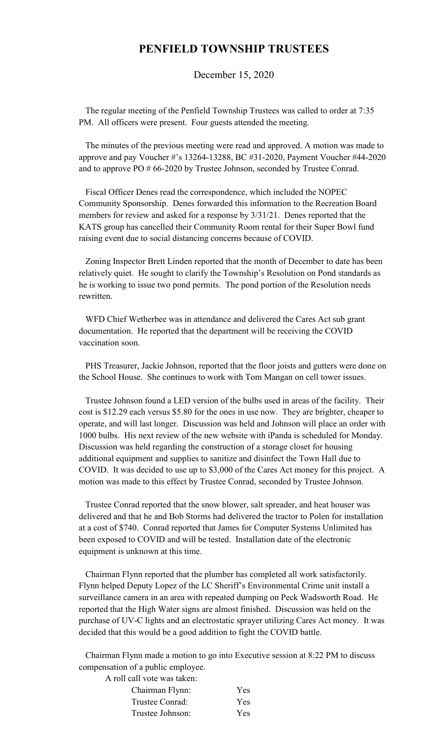## **PENFIELD TOWNSHIP TRUSTEES**

December 15, 2020

 The regular meeting of the Penfield Township Trustees was called to order at 7:35 PM. All officers were present. Four guests attended the meeting.

 The minutes of the previous meeting were read and approved. A motion was made to approve and pay Voucher #'s 13264-13288, BC #31-2020, Payment Voucher #44-2020 and to approve PO # 66-2020 by Trustee Johnson, seconded by Trustee Conrad.

 Fiscal Officer Denes read the correspondence, which included the NOPEC Community Sponsorship. Denes forwarded this information to the Recreation Board members for review and asked for a response by 3/31/21. Denes reported that the KATS group has cancelled their Community Room rental for their Super Bowl fund raising event due to social distancing concerns because of COVID.

 Zoning Inspector Brett Linden reported that the month of December to date has been relatively quiet. He sought to clarify the Township's Resolution on Pond standards as he is working to issue two pond permits. The pond portion of the Resolution needs rewritten.

 WFD Chief Wetherbee was in attendance and delivered the Cares Act sub grant documentation. He reported that the department will be receiving the COVID vaccination soon.

 PHS Treasurer, Jackie Johnson, reported that the floor joists and gutters were done on the School House. She continues to work with Tom Mangan on cell tower issues.

 Trustee Johnson found a LED version of the bulbs used in areas of the facility. Their cost is \$12.29 each versus \$5.80 for the ones in use now. They are brighter, cheaper to operate, and will last longer. Discussion was held and Johnson will place an order with 1000 bulbs. His next review of the new website with iPanda is scheduled for Monday. Discussion was held regarding the construction of a storage closet for housing additional equipment and supplies to sanitize and disinfect the Town Hall due to COVID. It was decided to use up to \$3,000 of the Cares Act money for this project. A motion was made to this effect by Trustee Conrad, seconded by Trustee Johnson.

 Trustee Conrad reported that the snow blower, salt spreader, and heat houser was delivered and that he and Bob Storms had delivered the tractor to Polen for installation at a cost of \$740. Conrad reported that James for Computer Systems Unlimited has been exposed to COVID and will be tested. Installation date of the electronic equipment is unknown at this time.

 Chairman Flynn reported that the plumber has completed all work satisfactorily. Flynn helped Deputy Lopez of the LC Sheriff's Environmental Crime unit install a surveillance camera in an area with repeated dumping on Peck Wadsworth Road. He reported that the High Water signs are almost finished. Discussion was held on the purchase of UV-C lights and an electrostatic sprayer utilizing Cares Act money. It was decided that this would be a good addition to fight the COVID battle.

 Chairman Flynn made a motion to go into Executive session at 8:22 PM to discuss compensation of a public employee.

A roll call vote was taken:

| Chairman Flynn:  | Yes |
|------------------|-----|
| Trustee Conrad:  | Yes |
| Trustee Johnson: | Yes |